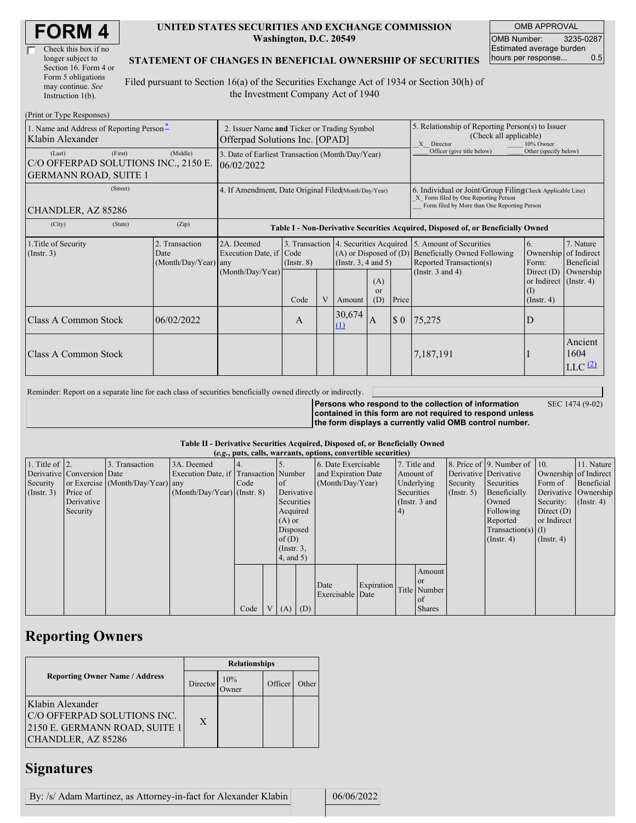| <b>FORM4</b> |
|--------------|
|--------------|

| Check this box if no  |
|-----------------------|
| longer subject to     |
| Section 16. Form 4 or |
| Form 5 obligations    |
| may continue. See     |
| Instruction 1(b).     |

#### **UNITED STATES SECURITIES AND EXCHANGE COMMISSION Washington, D.C. 20549**

OMB APPROVAL OMB Number: 3235-0287 Estimated average burden hours per response... 0.5

SEC 1474 (9-02)

### **STATEMENT OF CHANGES IN BENEFICIAL OWNERSHIP OF SECURITIES**

Filed pursuant to Section 16(a) of the Securities Exchange Act of 1934 or Section 30(h) of the Investment Company Act of 1940

| (Print or Type Responses)                                                                 |                                                                               |                                                                                  |                 |   |               |                                                                                                                                                    |                            |                                                                                                                                 |                                                                   |                                                      |  |  |
|-------------------------------------------------------------------------------------------|-------------------------------------------------------------------------------|----------------------------------------------------------------------------------|-----------------|---|---------------|----------------------------------------------------------------------------------------------------------------------------------------------------|----------------------------|---------------------------------------------------------------------------------------------------------------------------------|-------------------------------------------------------------------|------------------------------------------------------|--|--|
| 1. Name and Address of Reporting Person-<br>Klabin Alexander                              | 2. Issuer Name and Ticker or Trading Symbol<br>Offerpad Solutions Inc. [OPAD] |                                                                                  |                 |   |               | 5. Relationship of Reporting Person(s) to Issuer<br>(Check all applicable)<br>X Director<br>10% Owner                                              |                            |                                                                                                                                 |                                                                   |                                                      |  |  |
| (First)<br>(Last)<br>C/O OFFERPAD SOLUTIONS INC., 2150 E.<br><b>GERMANN ROAD, SUITE 1</b> | 3. Date of Earliest Transaction (Month/Day/Year)<br>06/02/2022                |                                                                                  |                 |   |               |                                                                                                                                                    | Officer (give title below) | Other (specify below)                                                                                                           |                                                                   |                                                      |  |  |
| (Street)<br>CHANDLER, AZ 85286                                                            | 4. If Amendment, Date Original Filed(Month/Day/Year)                          |                                                                                  |                 |   |               | 6. Individual or Joint/Group Filing(Check Applicable Line)<br>X Form filed by One Reporting Person<br>Form filed by More than One Reporting Person |                            |                                                                                                                                 |                                                                   |                                                      |  |  |
| (State)<br>(City)                                                                         | (Zip)                                                                         | Table I - Non-Derivative Securities Acquired, Disposed of, or Beneficially Owned |                 |   |               |                                                                                                                                                    |                            |                                                                                                                                 |                                                                   |                                                      |  |  |
| 1. Title of Security<br>(Insert. 3)                                                       | 2. Transaction<br>Date<br>(Month/Day/Year) any                                | 2A. Deemed<br>Execution Date, if Code                                            | $($ Instr. $8)$ |   |               | $(A)$ or Disposed of $(D)$<br>(Instr. $3, 4$ and $5$ )                                                                                             |                            | 3. Transaction 4. Securities Acquired 5. Amount of Securities<br><b>Beneficially Owned Following</b><br>Reported Transaction(s) | 6.<br>Ownership<br>Form:                                          | 7. Nature<br>of Indirect<br>Beneficial               |  |  |
|                                                                                           |                                                                               | (Month/Day/Year)                                                                 | Code            | V | Amount        | (A)<br><b>or</b><br>(D)                                                                                                                            | Price                      | (Instr. $3$ and $4$ )                                                                                                           | Direct $(D)$<br>or Indirect (Instr. 4)<br>(1)<br>$($ Instr. 4 $)$ | Ownership                                            |  |  |
| Class A Common Stock                                                                      | 06/02/2022                                                                    |                                                                                  | A               |   | 30,674<br>(1) | ΙA.                                                                                                                                                | $\Omega$                   | 75,275                                                                                                                          | D                                                                 |                                                      |  |  |
| Class A Common Stock                                                                      |                                                                               |                                                                                  |                 |   |               |                                                                                                                                                    |                            | 7,187,191                                                                                                                       |                                                                   | Ancient<br>1604<br>$LLC$ <sup><math>(2)</math></sup> |  |  |

Reminder: Report on a separate line for each class of securities beneficially owned directly or indirectly.

**Persons who respond to the collection of information contained in this form are not required to respond unless the form displays a currently valid OMB control number.**

### **Table II - Derivative Securities Acquired, Disposed of, or Beneficially Owned**

|                        | (e.g., puts, calls, warrants, options, convertible securities) |                                  |                                       |      |                |                 |            |                     |            |            |               |                       |                              |                  |                       |
|------------------------|----------------------------------------------------------------|----------------------------------|---------------------------------------|------|----------------|-----------------|------------|---------------------|------------|------------|---------------|-----------------------|------------------------------|------------------|-----------------------|
| 1. Title of $\vert$ 2. |                                                                | 3. Transaction                   | 3A. Deemed                            |      |                |                 |            | 6. Date Exercisable |            |            | 7. Title and  |                       | 8. Price of 9. Number of 10. |                  | 11. Nature            |
|                        | Derivative Conversion Date                                     |                                  | Execution Date, if Transaction Number |      |                |                 |            | and Expiration Date |            |            | Amount of     | Derivative Derivative |                              |                  | Ownership of Indirect |
| Security               |                                                                | or Exercise (Month/Day/Year) any |                                       | Code |                | $\circ$ f       |            | (Month/Day/Year)    |            |            | Underlying    | Security              | Securities                   | Form of          | Beneficial            |
| (Insert. 3)            | Price of                                                       |                                  | $(Month/Day/Year)$ (Instr. 8)         |      |                |                 | Derivative |                     |            | Securities |               | (Insert, 5)           | Beneficially                 |                  | Derivative Ownership  |
|                        | Derivative                                                     |                                  |                                       |      |                | Securities      |            |                     |            |            | (Instr. 3 and |                       | Owned                        | Security:        | $($ Instr. 4 $)$      |
|                        | Security                                                       |                                  |                                       |      |                | Acquired        |            |                     |            | (4)        |               |                       | Following                    | Direct $(D)$     |                       |
|                        |                                                                |                                  |                                       |      |                | $(A)$ or        |            |                     |            |            |               |                       | Reported                     | or Indirect      |                       |
|                        |                                                                |                                  |                                       |      |                | Disposed        |            |                     |            |            |               |                       | $Transaction(s)$ (I)         |                  |                       |
|                        |                                                                |                                  |                                       |      |                | of $(D)$        |            |                     |            |            |               |                       | $($ Instr. 4)                | $($ Instr. 4 $)$ |                       |
|                        |                                                                |                                  |                                       |      |                | $($ Instr. $3,$ |            |                     |            |            |               |                       |                              |                  |                       |
|                        |                                                                |                                  |                                       |      |                | 4, and 5)       |            |                     |            |            |               |                       |                              |                  |                       |
|                        |                                                                |                                  |                                       |      |                |                 |            |                     |            |            | Amount        |                       |                              |                  |                       |
|                        |                                                                |                                  |                                       |      |                |                 |            |                     |            |            | l or          |                       |                              |                  |                       |
|                        |                                                                |                                  |                                       |      |                |                 |            | Date                | Expiration |            | Title Number  |                       |                              |                  |                       |
|                        |                                                                |                                  |                                       |      |                |                 |            | Exercisable Date    |            |            | of            |                       |                              |                  |                       |
|                        |                                                                |                                  |                                       | Code | V <sub>1</sub> | $(A)$ $(D)$     |            |                     |            |            | <b>Shares</b> |                       |                              |                  |                       |

## **Reporting Owners**

|                                                                                                        | <b>Relationships</b> |              |         |       |  |  |  |  |
|--------------------------------------------------------------------------------------------------------|----------------------|--------------|---------|-------|--|--|--|--|
| <b>Reporting Owner Name / Address</b>                                                                  | Director             | 10%<br>Owner | Officer | Other |  |  |  |  |
| Klabin Alexander<br>C/O OFFERPAD SOLUTIONS INC.<br>2150 E. GERMANN ROAD, SUITE 1<br>CHANDLER, AZ 85286 | X                    |              |         |       |  |  |  |  |

## **Signatures**

| By: /s/ Adam Martinez, as Attorney-in-fact for Alexander Klabin |  | 06/06/2022 |
|-----------------------------------------------------------------|--|------------|
|-----------------------------------------------------------------|--|------------|